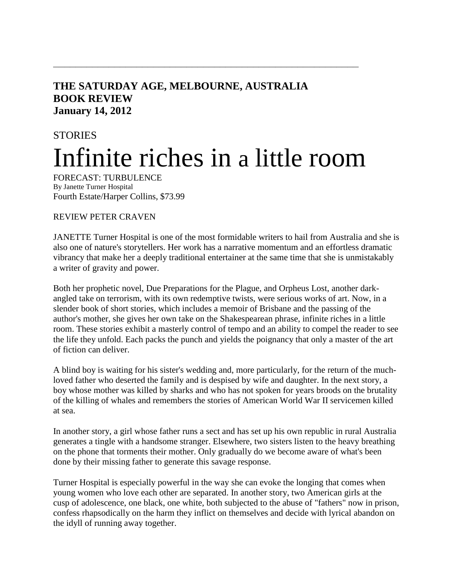## **THE SATURDAY AGE, MELBOURNE, AUSTRALIA BOOK REVIEW January 14, 2012**

## **STORIES** Infinite riches in a little room

**\_\_\_\_\_\_\_\_\_\_\_\_\_\_\_\_\_\_\_\_\_\_\_\_\_\_\_\_\_\_\_\_\_\_\_\_\_\_\_\_\_\_\_\_\_\_\_\_\_\_\_\_\_\_\_**

FORECAST: TURBULENCE By Janette Turner Hospital Fourth Estate/Harper Collins, \$73.99

## REVIEW PETER CRAVEN

JANETTE Turner Hospital is one of the most formidable writers to hail from Australia and she is also one of nature's storytellers. Her work has a narrative momentum and an effortless dramatic vibrancy that make her a deeply traditional entertainer at the same time that she is unmistakably a writer of gravity and power.

Both her prophetic novel, Due Preparations for the Plague, and Orpheus Lost, another darkangled take on terrorism, with its own redemptive twists, were serious works of art. Now, in a slender book of short stories, which includes a memoir of Brisbane and the passing of the author's mother, she gives her own take on the Shakespearean phrase, infinite riches in a little room. These stories exhibit a masterly control of tempo and an ability to compel the reader to see the life they unfold. Each packs the punch and yields the poignancy that only a master of the art of fiction can deliver.

A blind boy is waiting for his sister's wedding and, more particularly, for the return of the muchloved father who deserted the family and is despised by wife and daughter. In the next story, a boy whose mother was killed by sharks and who has not spoken for years broods on the brutality of the killing of whales and remembers the stories of American World War II servicemen killed at sea.

In another story, a girl whose father runs a sect and has set up his own republic in rural Australia generates a tingle with a handsome stranger. Elsewhere, two sisters listen to the heavy breathing on the phone that torments their mother. Only gradually do we become aware of what's been done by their missing father to generate this savage response.

Turner Hospital is especially powerful in the way she can evoke the longing that comes when young women who love each other are separated. In another story, two American girls at the cusp of adolescence, one black, one white, both subjected to the abuse of "fathers" now in prison, confess rhapsodically on the harm they inflict on themselves and decide with lyrical abandon on the idyll of running away together.